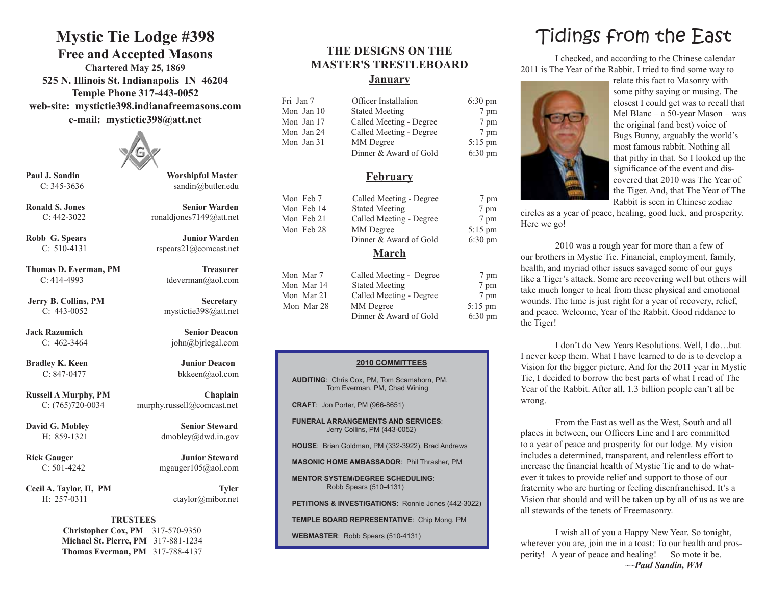### **Mystic Tie Lodge #398**

**Free and Accepted Masons Chartered May 25, 1869 525 N. Illinois St. Indianapolis IN 46204 Temple Phone 317-443-0052 web-site: mystictie398.indianafreemasons.com e-mail: mystictie398@att.net**



**Paul J. Sandin Worshipful Master**

**Thomas D. Everman, PM Treasurer** C: 414-4993 tdeverman@aol.com

**Bradley K. Keen Junior Deacon** 

Cecil A. Taylor, II, PM Tyler H: 257-0311 ctaylor@mibor.net

C: 345-3636 sandin@butler.edu

**Ronald S. Jones Senior Warden** C:  $442-3022$  ronaldjones $7149@at$ .net

**Robb G. Spears Junior Warden** C: 510-4131 rspears21@comcast.net

**Jerry B. Collins, PM Secretary** C: 443-0052 mystictie398@att.net

**Jack Razumich Senior Deacon** C: 462-3464 john@bjrlegal.com

**Russell A Murphy, PM Chaplain** C: (765)720-0034 murphy.russell@comcast.net

**David G. Mobley Senior Steward** 

**Rick Gauger Junior Steward** C:  $501-4242$  mgauger $105$  (a) ao l.com

#### **TRUSTEES**

**Christopher Cox, PM** 317-570-9350 **Michael St. Pierre, PM** 317-881-1234 **Thomas Everman, PM** 317-788-4137

### **THE DESIGNS ON THE MASTER'S TRESTLEBOARD January**

| Fri Jan 7  | Officer Installation    | $6:30 \text{ pm}$ |  |
|------------|-------------------------|-------------------|--|
| Mon Jan 10 | <b>Stated Meeting</b>   | 7 pm              |  |
| Mon Jan 17 | Called Meeting - Degree | 7 pm              |  |
| Mon Jan 24 | Called Meeting - Degree | 7 pm              |  |
| Mon Jan 31 | MM Degree               | $5:15$ pm         |  |
|            | Dinner & Award of Gold  | $6:30 \text{ pm}$ |  |

#### **February**

| Mon Feb 7    | Called Meeting - Degree | 7 pm              |  |  |  |  |
|--------------|-------------------------|-------------------|--|--|--|--|
| Mon Feb 14   | <b>Stated Meeting</b>   | 7 pm              |  |  |  |  |
| Mon Feb 21   | Called Meeting - Degree | 7 pm              |  |  |  |  |
| Mon Feb 28   | MM Degree               | $5:15$ pm         |  |  |  |  |
|              | Dinner & Award of Gold  | $6:30 \text{ pm}$ |  |  |  |  |
| <b>March</b> |                         |                   |  |  |  |  |

| Mon Mar 7  | Called Meeting - Degree | 7 pm              |
|------------|-------------------------|-------------------|
| Mon Mar 14 | <b>Stated Meeting</b>   | 7 pm              |
| Mon Mar 21 | Called Meeting - Degree | 7 pm              |
| Mon Mar 28 | MM Degree               | $5:15$ pm         |
|            | Dinner & Award of Gold  | $6:30 \text{ pm}$ |

#### **2010 COMMITTEES**

**AUDITING**: Chris Cox, PM, Tom Scamahorn, PM, Tom Everman, PM, Chad Wining

**CRAFT**: Jon Porter, PM (966-8651)

**FUNERAL ARRANGEMENTS AND SERVICES**: Jerry Collins, PM (443-0052)

**HOUSE**: Brian Goldman, PM (332-3922), Brad Andrews

**MASONIC HOME AMBASSADOR**: Phil Thrasher, PM

**MENTOR SYSTEM/DEGREE SCHEDULING**: Robb Spears (510-4131)

**PETITIONS & INVESTIGATIONS**: Ronnie Jones (442-3022)

**TEMPLE BOARD REPRESENTATIVE**: Chip Mong, PM

**WEBMASTER**: Robb Spears (510-4131)

## Tidings from the East

I checked, and according to the Chinese calendar 2011 is The Year of the Rabbit. I tried to find some way to



relate this fact to Masonry with some pithy saying or musing. The closest I could get was to recall that Mel Blanc – a 50-year Mason – was the original (and best) voice of Bugs Bunny, arguably the world's most famous rabbit. Nothing all that pithy in that. So I looked up the significance of the event and discovered that 2010 was The Year of the Tiger. And, that The Year of The Rabbit is seen in Chinese zodiac

circles as a year of peace, healing, good luck, and prosperity. Here we go!

2010 was a rough year for more than a few of our brothers in Mystic Tie. Financial, employment, family, health, and myriad other issues savaged some of our guys like a Tiger's attack. Some are recovering well but others will take much longer to heal from these physical and emotional wounds. The time is just right for a year of recovery, relief, and peace. Welcome, Year of the Rabbit. Good riddance to the Tiger!

I don't do New Years Resolutions. Well, I do…but I never keep them. What I have learned to do is to develop a Vision for the bigger picture. And for the 2011 year in Mystic Tie, I decided to borrow the best parts of what I read of The Year of the Rabbit. After all, 1.3 billion people can't all be wrong.

From the East as well as the West, South and all places in between, our Officers Line and I are committed to a year of peace and prosperity for our lodge. My vision includes a determined, transparent, and relentless effort to increase the financial health of Mystic Tie and to do whatever it takes to provide relief and support to those of our fraternity who are hurting or feeling disenfranchised. It's a Vision that should and will be taken up by all of us as we are all stewards of the tenets of Freemasonry.

I wish all of you a Happy New Year. So tonight, wherever you are, join me in a toast: To our health and prosperity! A year of peace and healing! So mote it be. ~~*Paul Sandin, WM*

C: 847-0477 bkkeen@aol.com

H: 859-1321 dmobley@dwd.in.gov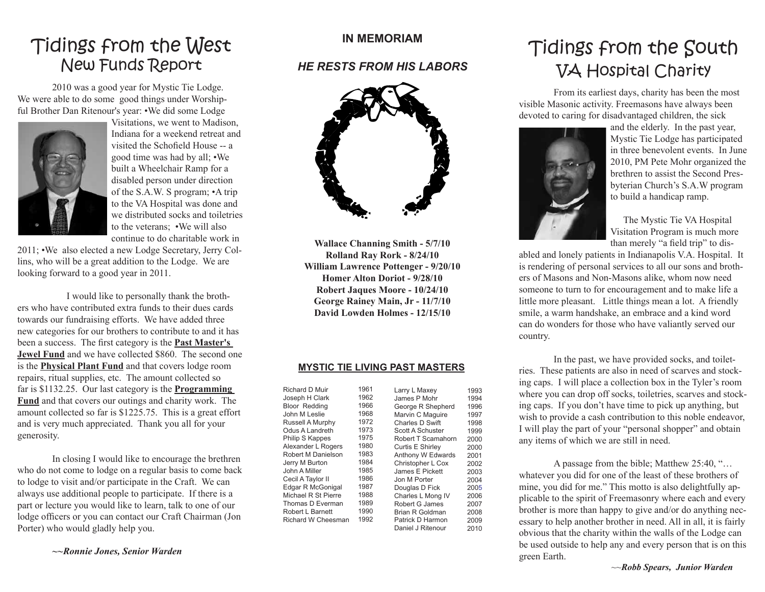### Tidings from the West New Funds Report

2010 was a good year for Mystic Tie Lodge. We were able to do some good things under Worshipful Brother Dan Ritenour's year: •We did some Lodge



Visitations, we went to Madison, Indiana for a weekend retreat and visited the Schofield House -- a good time was had by all; •We built a Wheelchair Ramp for a disabled person under direction of the S.A.W. S program; •A trip to the VA Hospital was done and we distributed socks and toiletries to the veterans; •We will also continue to do charitable work in

2011; •We also elected a new Lodge Secretary, Jerry Collins, who will be a great addition to the Lodge. We are looking forward to a good year in 2011.

 I would like to personally thank the brothers who have contributed extra funds to their dues cards towards our fundraising efforts. We have added three new categories for our brothers to contribute to and it has been a success. The first category is the **Past Master's Jewel Fund** and we have collected \$860. The second one is the **Physical Plant Fund** and that covers lodge room repairs, ritual supplies, etc. The amount collected so far is \$1132.25. Our last category is the **Programming Fund** and that covers our outings and charity work. The amount collected so far is \$1225.75. This is a great effort and is very much appreciated. Thank you all for your generosity.

In closing I would like to encourage the brethren who do not come to lodge on a regular basis to come back to lodge to visit and/or participate in the Craft. We can always use additional people to participate. If there is a part or lecture you would like to learn, talk to one of our lodge officers or you can contact our Craft Chairman (Jon Porter) who would gladly help you.

### **IN MEMORIAM**

### *HE RESTS FROM HIS LABORS*



**Wallace Channing Smith - 5/7/10 Rolland Ray Rork - 8/24/10 William Lawrence Pottenger - 9/20/10 Homer Alton Doriot - 9/28/10 Robert Jaques Moore - 10/24/10 George Rainey Main, Jr - 11/7/10 David Lowden Holmes - 12/15/10**

#### **MYSTIC TIE LIVING PAST MASTERS**

| Richard D Muir       | 1961 | Larry L Maxey      | 1993 |
|----------------------|------|--------------------|------|
| Joseph H Clark       | 1962 | James P Mohr       | 1994 |
| <b>Bloor Redding</b> | 1966 | George R Shepherd  | 1996 |
| John M Leslie        | 1968 | Marvin C Maguire   | 1997 |
| Russell A Murphy     | 1972 | Charles D Swift    | 1998 |
| Odus A Landreth      | 1973 | Scott A Schuster   | 1999 |
| Philip S Kappes      | 1975 | Robert T Scamahorn | 2000 |
| Alexander L Rogers   | 1980 | Curtis E Shirley   | 2000 |
| Robert M Danielson   | 1983 | Anthony W Edwards  | 2001 |
| Jerry M Burton       | 1984 | Christopher L Cox  | 2002 |
| John A Miller        | 1985 | James E Pickett    | 2003 |
| Cecil A Taylor II    | 1986 | Jon M Porter       | 2004 |
| Edgar R McGonigal    | 1987 | Douglas D Fick     | 2005 |
| Michael R St Pierre  | 1988 | Charles L Mong IV  | 2006 |
| Thomas D Everman     | 1989 | Robert G James     | 2007 |
| Robert L Barnett     | 1990 | Brian R Goldman    | 2008 |
| Richard W Cheesman   | 1992 | Patrick D Harmon   | 2009 |
|                      |      | Daniel J Ritenour  | 2010 |

### Tidings from the South VA Hospital Charity

From its earliest days, charity has been the most visible Masonic activity. Freemasons have always been devoted to caring for disadvantaged children, the sick



and the elderly. In the past year, Mystic Tie Lodge has participated in three benevolent events. In June 2010, PM Pete Mohr organized the brethren to assist the Second Presbyterian Church's S.A.W program to build a handicap ramp.

The Mystic Tie VA Hospital Visitation Program is much more than merely "a field trip" to dis-

abled and lonely patients in Indianapolis V.A. Hospital. It is rendering of personal services to all our sons and brothers of Masons and Non-Masons alike, whom now need someone to turn to for encouragement and to make life a little more pleasant. Little things mean a lot. A friendly smile, a warm handshake, an embrace and a kind word can do wonders for those who have valiantly served our country.

In the past, we have provided socks, and toiletries. These patients are also in need of scarves and stocking caps. I will place a collection box in the Tyler's room where you can drop off socks, toiletries, scarves and stocking caps. If you don't have time to pick up anything, but wish to provide a cash contribution to this noble endeavor, I will play the part of your "personal shopper" and obtain any items of which we are still in need.

A passage from the bible; Matthew 25:40, "… whatever you did for one of the least of these brothers of mine, you did for me." This motto is also delightfully applicable to the spirit of Freemasonry where each and every brother is more than happy to give and/or do anything necessary to help another brother in need. All in all, it is fairly obvious that the charity within the walls of the Lodge can be used outside to help any and every person that is on this green Earth.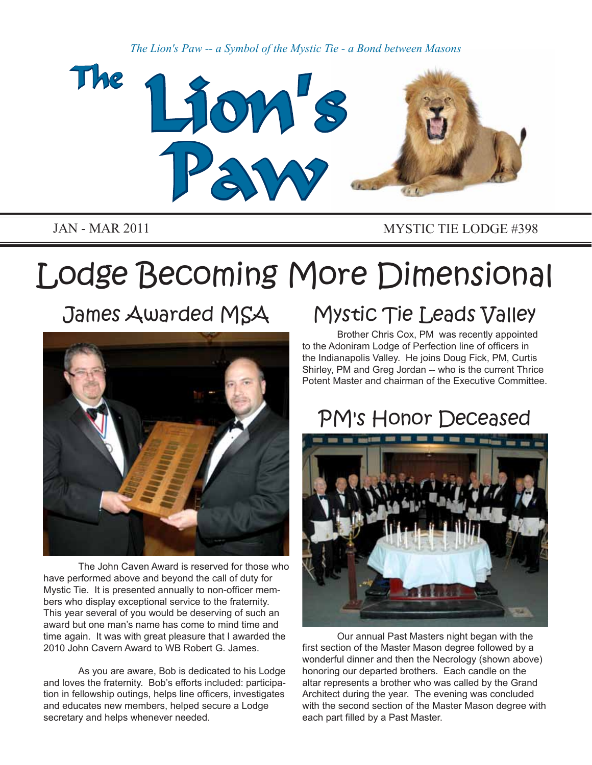*The Lion's Paw -- a Symbol of the Mystic Tie - a Bond between Masons*



JAN - MAR 2011 MYSTIC TIE LODGE #398

# Lodge Becoming More Dimensional

James Awarded MSA



The John Caven Award is reserved for those who have performed above and beyond the call of duty for Mystic Tie. It is presented annually to non-officer members who display exceptional service to the fraternity. This year several of you would be deserving of such an award but one man's name has come to mind time and time again. It was with great pleasure that I awarded the 2010 John Cavern Award to WB Robert G. James.

As you are aware, Bob is dedicated to his Lodge and loves the fraternity. Bob's efforts included: participation in fellowship outings, helps line officers, investigates and educates new members, helped secure a Lodge secretary and helps whenever needed.

# Mystic Tie Leads Valley

Brother Chris Cox, PM was recently appointed to the Adoniram Lodge of Perfection line of officers in the Indianapolis Valley. He joins Doug Fick, PM, Curtis Shirley, PM and Greg Jordan -- who is the current Thrice Potent Master and chairman of the Executive Committee.

# PM's Honor Deceased



Our annual Past Masters night began with the first section of the Master Mason degree followed by a wonderful dinner and then the Necrology (shown above) honoring our departed brothers. Each candle on the altar represents a brother who was called by the Grand Architect during the year. The evening was concluded with the second section of the Master Mason degree with each part filled by a Past Master.